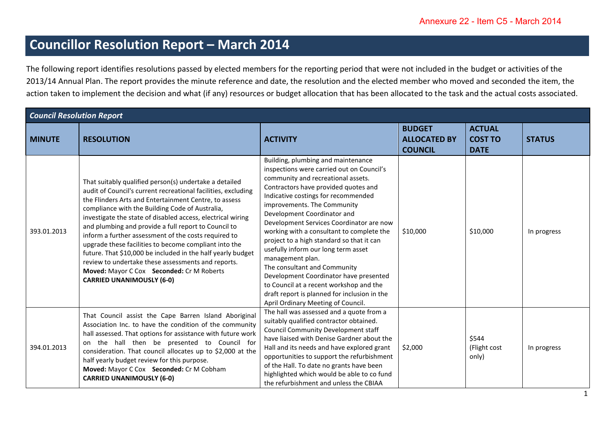## **Councillor Resolution Report – March 2014**

The following report identifies resolutions passed by elected members for the reporting period that were not included in the budget or activities of the 2013/14 Annual Plan. The report provides the minute reference and date, the resolution and the elected member who moved and seconded the item, the action taken to implement the decision and what (if any) resources or budget allocation that has been allocated to the task and the actual costs associated.

| <b>Council Resolution Report</b> |                                                                                                                                                                                                                                                                                                                                                                                                                                                                                                                                                                                                                                                                                   |                                                                                                                                                                                                                                                                                                                                                                                                                                                                                                                                                                                                                                                                                |                                                        |                                                |               |  |
|----------------------------------|-----------------------------------------------------------------------------------------------------------------------------------------------------------------------------------------------------------------------------------------------------------------------------------------------------------------------------------------------------------------------------------------------------------------------------------------------------------------------------------------------------------------------------------------------------------------------------------------------------------------------------------------------------------------------------------|--------------------------------------------------------------------------------------------------------------------------------------------------------------------------------------------------------------------------------------------------------------------------------------------------------------------------------------------------------------------------------------------------------------------------------------------------------------------------------------------------------------------------------------------------------------------------------------------------------------------------------------------------------------------------------|--------------------------------------------------------|------------------------------------------------|---------------|--|
| <b>MINUTE</b>                    | <b>RESOLUTION</b>                                                                                                                                                                                                                                                                                                                                                                                                                                                                                                                                                                                                                                                                 | <b>ACTIVITY</b>                                                                                                                                                                                                                                                                                                                                                                                                                                                                                                                                                                                                                                                                | <b>BUDGET</b><br><b>ALLOCATED BY</b><br><b>COUNCIL</b> | <b>ACTUAL</b><br><b>COST TO</b><br><b>DATE</b> | <b>STATUS</b> |  |
| 393.01.2013                      | That suitably qualified person(s) undertake a detailed<br>audit of Council's current recreational facilities, excluding<br>the Flinders Arts and Entertainment Centre, to assess<br>compliance with the Building Code of Australia,<br>investigate the state of disabled access, electrical wiring<br>and plumbing and provide a full report to Council to<br>inform a further assessment of the costs required to<br>upgrade these facilities to become compliant into the<br>future. That \$10,000 be included in the half yearly budget<br>review to undertake these assessments and reports.<br>Moved: Mayor C Cox Seconded: Cr M Roberts<br><b>CARRIED UNANIMOUSLY (6-0)</b> | Building, plumbing and maintenance<br>inspections were carried out on Council's<br>community and recreational assets.<br>Contractors have provided quotes and<br>Indicative costings for recommended<br>improvements. The Community<br>Development Coordinator and<br>Development Services Coordinator are now<br>working with a consultant to complete the<br>project to a high standard so that it can<br>usefully inform our long term asset<br>management plan.<br>The consultant and Community<br>Development Coordinator have presented<br>to Council at a recent workshop and the<br>draft report is planned for inclusion in the<br>April Ordinary Meeting of Council. | \$10,000                                               | \$10,000                                       | In progress   |  |
| 394.01.2013                      | That Council assist the Cape Barren Island Aboriginal<br>Association Inc. to have the condition of the community<br>hall assessed. That options for assistance with future work<br>on the hall then be presented to Council for<br>consideration. That council allocates up to \$2,000 at the<br>half yearly budget review for this purpose.<br>Moved: Mayor C Cox Seconded: Cr M Cobham<br><b>CARRIED UNANIMOUSLY (6-0)</b>                                                                                                                                                                                                                                                      | The hall was assessed and a quote from a<br>suitably qualified contractor obtained.<br>Council Community Development staff<br>have liaised with Denise Gardner about the<br>Hall and its needs and have explored grant<br>opportunities to support the refurbishment<br>of the Hall. To date no grants have been<br>highlighted which would be able to co fund<br>the refurbishment and unless the CBIAA                                                                                                                                                                                                                                                                       | \$2,000                                                | \$544<br>(Flight cost<br>only)                 | In progress   |  |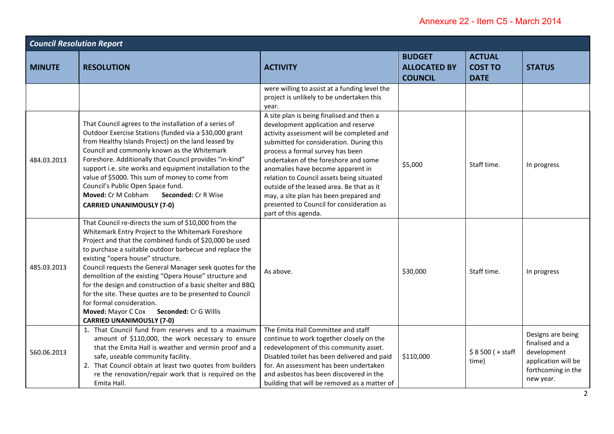| <b>Council Resolution Report</b> |                                                                                                                                                                                                                                                                                                                                                                                                                                                                                                                                                                                                                                               |                                                                                                                                                                                                                                                                                                                                                                                                                                                                                                     |                                                        |                                                |                                                                                                               |  |
|----------------------------------|-----------------------------------------------------------------------------------------------------------------------------------------------------------------------------------------------------------------------------------------------------------------------------------------------------------------------------------------------------------------------------------------------------------------------------------------------------------------------------------------------------------------------------------------------------------------------------------------------------------------------------------------------|-----------------------------------------------------------------------------------------------------------------------------------------------------------------------------------------------------------------------------------------------------------------------------------------------------------------------------------------------------------------------------------------------------------------------------------------------------------------------------------------------------|--------------------------------------------------------|------------------------------------------------|---------------------------------------------------------------------------------------------------------------|--|
| <b>MINUTE</b>                    | <b>RESOLUTION</b>                                                                                                                                                                                                                                                                                                                                                                                                                                                                                                                                                                                                                             | <b>ACTIVITY</b>                                                                                                                                                                                                                                                                                                                                                                                                                                                                                     | <b>BUDGET</b><br><b>ALLOCATED BY</b><br><b>COUNCIL</b> | <b>ACTUAL</b><br><b>COST TO</b><br><b>DATE</b> | <b>STATUS</b>                                                                                                 |  |
|                                  |                                                                                                                                                                                                                                                                                                                                                                                                                                                                                                                                                                                                                                               | were willing to assist at a funding level the<br>project is unlikely to be undertaken this<br>year.                                                                                                                                                                                                                                                                                                                                                                                                 |                                                        |                                                |                                                                                                               |  |
| 484.03.2013                      | That Council agrees to the installation of a series of<br>Outdoor Exercise Stations (funded via a \$30,000 grant<br>from Healthy Islands Project) on the land leased by<br>Council and commonly known as the Whitemark<br>Foreshore. Additionally that Council provides "in-kind"<br>support i.e. site works and equipment installation to the<br>value of \$5000. This sum of money to come from<br>Council's Public Open Space fund.<br>Moved: Cr M Cobham<br><b>Seconded: Cr R Wise</b><br><b>CARRIED UNANIMOUSLY (7-0)</b>                                                                                                                | A site plan is being finalised and then a<br>development application and reserve<br>activity assessment will be completed and<br>submitted for consideration. During this<br>process a formal survey has been<br>undertaken of the foreshore and some<br>anomalies have become apparent in<br>relation to Council assets being situated<br>outside of the leased area. Be that as it<br>may, a site plan has been prepared and<br>presented to Council for consideration as<br>part of this agenda. | \$5,000                                                | Staff time.                                    | In progress                                                                                                   |  |
| 485.03.2013                      | That Council re-directs the sum of \$10,000 from the<br>Whitemark Entry Project to the Whitemark Foreshore<br>Project and that the combined funds of \$20,000 be used<br>to purchase a suitable outdoor barbecue and replace the<br>existing "opera house" structure.<br>Council requests the General Manager seek quotes for the<br>demolition of the existing "Opera House" structure and<br>for the design and construction of a basic shelter and BBQ<br>for the site. These quotes are to be presented to Council<br>for formal consideration.<br><b>Moved: Mayor C Cox</b><br>Seconded: Cr G Willis<br><b>CARRIED UNANIMOUSLY (7-0)</b> | As above.                                                                                                                                                                                                                                                                                                                                                                                                                                                                                           | \$30,000                                               | Staff time.                                    | In progress                                                                                                   |  |
| 560.06.2013                      | 1. That Council fund from reserves and to a maximum<br>amount of \$110,000, the work necessary to ensure<br>that the Emita Hall is weather and vermin proof and a<br>safe, useable community facility.<br>2. That Council obtain at least two quotes from builders<br>re the renovation/repair work that is required on the<br>Emita Hall.                                                                                                                                                                                                                                                                                                    | The Emita Hall Committee and staff<br>continue to work together closely on the<br>redevelopment of this community asset.<br>Disabled toilet has been delivered and paid<br>for. An assessment has been undertaken<br>and asbestos has been discovered in the<br>building that will be removed as a matter of                                                                                                                                                                                        | \$110,000                                              | $$8500 (+ statf)$<br>time)                     | Designs are being<br>finalised and a<br>development<br>application will be<br>forthcoming in the<br>new year. |  |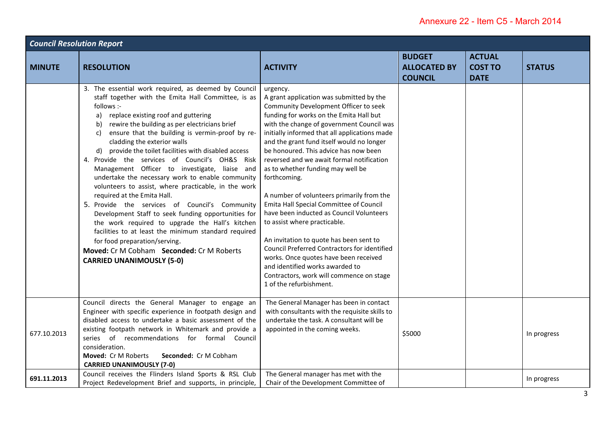| <b>Council Resolution Report</b> |                                                                                                                                                                                                                                                                                                                                                                                                                                                                                                                                                                                                                                                                                                                                                                                                                                                                                                                                                                       |                                                                                                                                                                                                                                                                                                                                                                                                                                                                                                                                                                                                                                                                                                                                                                                                                                                  |                                                        |                                                |               |  |
|----------------------------------|-----------------------------------------------------------------------------------------------------------------------------------------------------------------------------------------------------------------------------------------------------------------------------------------------------------------------------------------------------------------------------------------------------------------------------------------------------------------------------------------------------------------------------------------------------------------------------------------------------------------------------------------------------------------------------------------------------------------------------------------------------------------------------------------------------------------------------------------------------------------------------------------------------------------------------------------------------------------------|--------------------------------------------------------------------------------------------------------------------------------------------------------------------------------------------------------------------------------------------------------------------------------------------------------------------------------------------------------------------------------------------------------------------------------------------------------------------------------------------------------------------------------------------------------------------------------------------------------------------------------------------------------------------------------------------------------------------------------------------------------------------------------------------------------------------------------------------------|--------------------------------------------------------|------------------------------------------------|---------------|--|
| <b>MINUTE</b>                    | <b>RESOLUTION</b>                                                                                                                                                                                                                                                                                                                                                                                                                                                                                                                                                                                                                                                                                                                                                                                                                                                                                                                                                     | <b>ACTIVITY</b>                                                                                                                                                                                                                                                                                                                                                                                                                                                                                                                                                                                                                                                                                                                                                                                                                                  | <b>BUDGET</b><br><b>ALLOCATED BY</b><br><b>COUNCIL</b> | <b>ACTUAL</b><br><b>COST TO</b><br><b>DATE</b> | <b>STATUS</b> |  |
|                                  | 3. The essential work required, as deemed by Council<br>staff together with the Emita Hall Committee, is as<br>follows :-<br>replace existing roof and guttering<br>a)<br>rewire the building as per electricians brief<br>b)<br>ensure that the building is vermin-proof by re-<br>C)<br>cladding the exterior walls<br>provide the toilet facilities with disabled access<br>d)<br>4. Provide the services of Council's OH&S Risk<br>Management Officer to investigate, liaise and<br>undertake the necessary work to enable community<br>volunteers to assist, where practicable, in the work<br>required at the Emita Hall.<br>5. Provide the services of Council's Community<br>Development Staff to seek funding opportunities for<br>the work required to upgrade the Hall's kitchen<br>facilities to at least the minimum standard required<br>for food preparation/serving.<br>Moved: Cr M Cobham Seconded: Cr M Roberts<br><b>CARRIED UNANIMOUSLY (5-0)</b> | urgency.<br>A grant application was submitted by the<br>Community Development Officer to seek<br>funding for works on the Emita Hall but<br>with the change of government Council was<br>initially informed that all applications made<br>and the grant fund itself would no longer<br>be honoured. This advice has now been<br>reversed and we await formal notification<br>as to whether funding may well be<br>forthcoming.<br>A number of volunteers primarily from the<br>Emita Hall Special Committee of Council<br>have been inducted as Council Volunteers<br>to assist where practicable.<br>An invitation to quote has been sent to<br>Council Preferred Contractors for identified<br>works. Once quotes have been received<br>and identified works awarded to<br>Contractors, work will commence on stage<br>1 of the refurbishment. |                                                        |                                                |               |  |
| 677.10.2013                      | Council directs the General Manager to engage an<br>Engineer with specific experience in footpath design and<br>disabled access to undertake a basic assessment of the<br>existing footpath network in Whitemark and provide a<br>series of recommendations for formal Council<br>consideration.<br>Seconded: Cr M Cobham<br>Moved: Cr M Roberts<br><b>CARRIED UNANIMOUSLY (7-0)</b>                                                                                                                                                                                                                                                                                                                                                                                                                                                                                                                                                                                  | The General Manager has been in contact<br>with consultants with the requisite skills to<br>undertake the task. A consultant will be<br>appointed in the coming weeks.                                                                                                                                                                                                                                                                                                                                                                                                                                                                                                                                                                                                                                                                           | \$5000                                                 |                                                | In progress   |  |
| 691.11.2013                      | Council receives the Flinders Island Sports & RSL Club<br>Project Redevelopment Brief and supports, in principle,                                                                                                                                                                                                                                                                                                                                                                                                                                                                                                                                                                                                                                                                                                                                                                                                                                                     | The General manager has met with the<br>Chair of the Development Committee of                                                                                                                                                                                                                                                                                                                                                                                                                                                                                                                                                                                                                                                                                                                                                                    |                                                        |                                                | In progress   |  |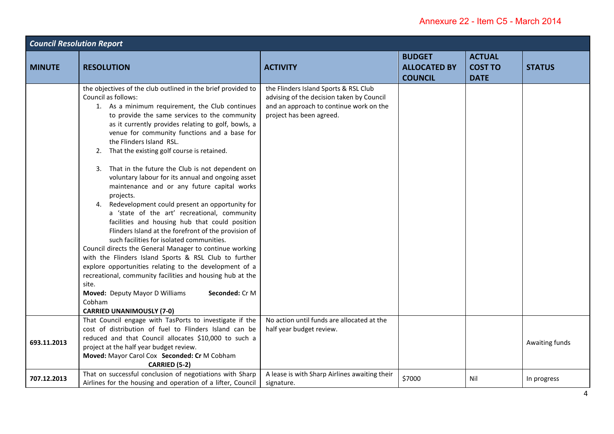| <b>Council Resolution Report</b> |                                                                                                                                                                                                                                                                                                                                                                                                                                                                                                                                                                                                                                                                                                                                                                                                                                                                                                                                                                                                                                                                                                                                                                      |                                                                                                                                                           |                                                        |                                                |                |  |
|----------------------------------|----------------------------------------------------------------------------------------------------------------------------------------------------------------------------------------------------------------------------------------------------------------------------------------------------------------------------------------------------------------------------------------------------------------------------------------------------------------------------------------------------------------------------------------------------------------------------------------------------------------------------------------------------------------------------------------------------------------------------------------------------------------------------------------------------------------------------------------------------------------------------------------------------------------------------------------------------------------------------------------------------------------------------------------------------------------------------------------------------------------------------------------------------------------------|-----------------------------------------------------------------------------------------------------------------------------------------------------------|--------------------------------------------------------|------------------------------------------------|----------------|--|
| <b>MINUTE</b>                    | <b>RESOLUTION</b>                                                                                                                                                                                                                                                                                                                                                                                                                                                                                                                                                                                                                                                                                                                                                                                                                                                                                                                                                                                                                                                                                                                                                    | <b>ACTIVITY</b>                                                                                                                                           | <b>BUDGET</b><br><b>ALLOCATED BY</b><br><b>COUNCIL</b> | <b>ACTUAL</b><br><b>COST TO</b><br><b>DATE</b> | <b>STATUS</b>  |  |
|                                  | the objectives of the club outlined in the brief provided to<br>Council as follows:<br>1. As a minimum requirement, the Club continues<br>to provide the same services to the community<br>as it currently provides relating to golf, bowls, a<br>venue for community functions and a base for<br>the Flinders Island RSL.<br>2. That the existing golf course is retained.<br>3. That in the future the Club is not dependent on<br>voluntary labour for its annual and ongoing asset<br>maintenance and or any future capital works<br>projects.<br>4. Redevelopment could present an opportunity for<br>a 'state of the art' recreational, community<br>facilities and housing hub that could position<br>Flinders Island at the forefront of the provision of<br>such facilities for isolated communities.<br>Council directs the General Manager to continue working<br>with the Flinders Island Sports & RSL Club to further<br>explore opportunities relating to the development of a<br>recreational, community facilities and housing hub at the<br>site.<br>Moved: Deputy Mayor D Williams<br>Seconded: Cr M<br>Cobham<br><b>CARRIED UNANIMOUSLY (7-0)</b> | the Flinders Island Sports & RSL Club<br>advising of the decision taken by Council<br>and an approach to continue work on the<br>project has been agreed. |                                                        |                                                |                |  |
| 693.11.2013                      | That Council engage with TasPorts to investigate if the<br>cost of distribution of fuel to Flinders Island can be<br>reduced and that Council allocates \$10,000 to such a<br>project at the half year budget review.<br>Moved: Mayor Carol Cox Seconded: Cr M Cobham<br>CARRIED (5-2)                                                                                                                                                                                                                                                                                                                                                                                                                                                                                                                                                                                                                                                                                                                                                                                                                                                                               | No action until funds are allocated at the<br>half year budget review.                                                                                    |                                                        |                                                | Awaiting funds |  |
| 707.12.2013                      | That on successful conclusion of negotiations with Sharp<br>Airlines for the housing and operation of a lifter, Council                                                                                                                                                                                                                                                                                                                                                                                                                                                                                                                                                                                                                                                                                                                                                                                                                                                                                                                                                                                                                                              | A lease is with Sharp Airlines awaiting their<br>signature.                                                                                               | \$7000                                                 | Nil                                            | In progress    |  |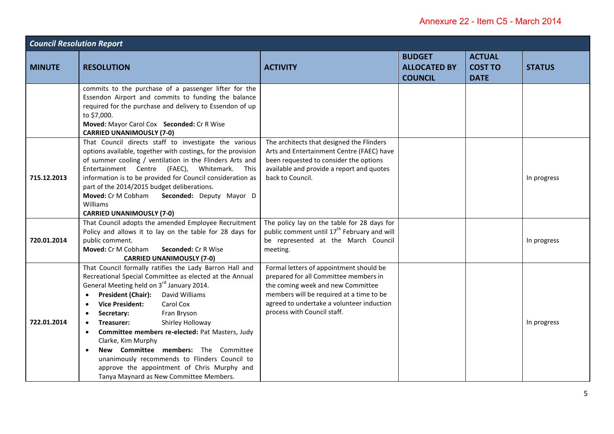| <b>Council Resolution Report</b> |                                                                                                                                                                                                                                                                                                                                                                                                                                                                                                                                                                                                                                      |                                                                                                                                                                                                                                               |                                                        |                                                |               |  |
|----------------------------------|--------------------------------------------------------------------------------------------------------------------------------------------------------------------------------------------------------------------------------------------------------------------------------------------------------------------------------------------------------------------------------------------------------------------------------------------------------------------------------------------------------------------------------------------------------------------------------------------------------------------------------------|-----------------------------------------------------------------------------------------------------------------------------------------------------------------------------------------------------------------------------------------------|--------------------------------------------------------|------------------------------------------------|---------------|--|
| <b>MINUTE</b>                    | <b>RESOLUTION</b>                                                                                                                                                                                                                                                                                                                                                                                                                                                                                                                                                                                                                    | <b>ACTIVITY</b>                                                                                                                                                                                                                               | <b>BUDGET</b><br><b>ALLOCATED BY</b><br><b>COUNCIL</b> | <b>ACTUAL</b><br><b>COST TO</b><br><b>DATE</b> | <b>STATUS</b> |  |
|                                  | commits to the purchase of a passenger lifter for the<br>Essendon Airport and commits to funding the balance<br>required for the purchase and delivery to Essendon of up<br>to \$7,000.<br>Moved: Mayor Carol Cox Seconded: Cr R Wise<br><b>CARRIED UNANIMOUSLY (7-0)</b>                                                                                                                                                                                                                                                                                                                                                            |                                                                                                                                                                                                                                               |                                                        |                                                |               |  |
| 715.12.2013                      | That Council directs staff to investigate the various<br>options available, together with costings, for the provision<br>of summer cooling / ventilation in the Flinders Arts and<br>Entertainment Centre (FAEC), Whitemark.<br>This<br>information is to be provided for Council consideration as<br>part of the 2014/2015 budget deliberations.<br>Moved: Cr M Cobham<br>Seconded: Deputy Mayor D<br>Williams<br><b>CARRIED UNANIMOUSLY (7-0)</b>                                                                                                                                                                                  | The architects that designed the Flinders<br>Arts and Entertainment Centre (FAEC) have<br>been requested to consider the options<br>available and provide a report and quotes<br>back to Council.                                             |                                                        |                                                | In progress   |  |
| 720.01.2014                      | That Council adopts the amended Employee Recruitment<br>Policy and allows it to lay on the table for 28 days for<br>public comment.<br>Moved: Cr M Cobham<br>Seconded: Cr R Wise<br><b>CARRIED UNANIMOUSLY (7-0)</b>                                                                                                                                                                                                                                                                                                                                                                                                                 | The policy lay on the table for 28 days for<br>public comment until 17 <sup>th</sup> February and will<br>be represented at the March Council<br>meeting.                                                                                     |                                                        |                                                | In progress   |  |
| 722.01.2014                      | That Council formally ratifies the Lady Barron Hall and<br>Recreational Special Committee as elected at the Annual<br>General Meeting held on 3rd January 2014.<br><b>President (Chair):</b><br>David Williams<br><b>Vice President:</b><br>Carol Cox<br>$\bullet$<br>Fran Bryson<br>Secretary:<br>$\bullet$<br>Treasurer:<br>Shirley Holloway<br>Committee members re-elected: Pat Masters, Judy<br>$\bullet$<br>Clarke, Kim Murphy<br>New Committee members: The Committee<br>$\bullet$<br>unanimously recommends to Flinders Council to<br>approve the appointment of Chris Murphy and<br>Tanya Maynard as New Committee Members. | Formal letters of appointment should be<br>prepared for all Committee members in<br>the coming week and new Committee<br>members will be required at a time to be<br>agreed to undertake a volunteer induction<br>process with Council staff. |                                                        |                                                | In progress   |  |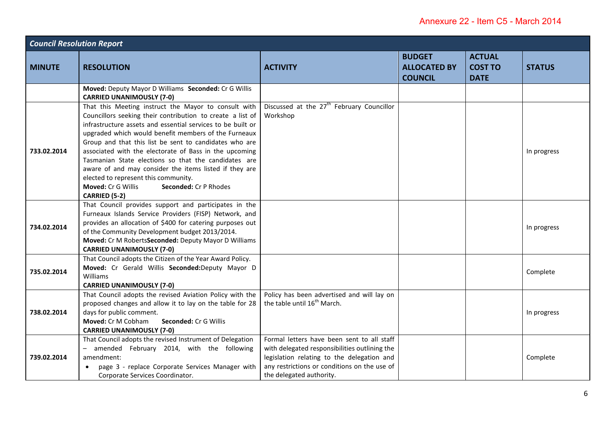| <b>Council Resolution Report</b> |                                                                                                                                                                                                                                                                                                                                                                                                                                                                                                                                                                                         |                                                                                                                                                                                                                       |                                                        |                                                |               |
|----------------------------------|-----------------------------------------------------------------------------------------------------------------------------------------------------------------------------------------------------------------------------------------------------------------------------------------------------------------------------------------------------------------------------------------------------------------------------------------------------------------------------------------------------------------------------------------------------------------------------------------|-----------------------------------------------------------------------------------------------------------------------------------------------------------------------------------------------------------------------|--------------------------------------------------------|------------------------------------------------|---------------|
| <b>MINUTE</b>                    | <b>RESOLUTION</b>                                                                                                                                                                                                                                                                                                                                                                                                                                                                                                                                                                       | <b>ACTIVITY</b>                                                                                                                                                                                                       | <b>BUDGET</b><br><b>ALLOCATED BY</b><br><b>COUNCIL</b> | <b>ACTUAL</b><br><b>COST TO</b><br><b>DATE</b> | <b>STATUS</b> |
|                                  | Moved: Deputy Mayor D Williams Seconded: Cr G Willis<br><b>CARRIED UNANIMOUSLY (7-0)</b>                                                                                                                                                                                                                                                                                                                                                                                                                                                                                                |                                                                                                                                                                                                                       |                                                        |                                                |               |
| 733.02.2014                      | That this Meeting instruct the Mayor to consult with<br>Councillors seeking their contribution to create a list of<br>infrastructure assets and essential services to be built or<br>upgraded which would benefit members of the Furneaux<br>Group and that this list be sent to candidates who are<br>associated with the electorate of Bass in the upcoming<br>Tasmanian State elections so that the candidates are<br>aware of and may consider the items listed if they are<br>elected to represent this community.<br>Moved: Cr G Willis<br>Seconded: Cr P Rhodes<br>CARRIED (5-2) | Discussed at the 27 <sup>th</sup> February Councillor<br>Workshop                                                                                                                                                     |                                                        |                                                | In progress   |
| 734.02.2014                      | That Council provides support and participates in the<br>Furneaux Islands Service Providers (FISP) Network, and<br>provides an allocation of \$400 for catering purposes out<br>of the Community Development budget 2013/2014.<br>Moved: Cr M RobertsSeconded: Deputy Mayor D Williams<br><b>CARRIED UNANIMOUSLY (7-0)</b>                                                                                                                                                                                                                                                              |                                                                                                                                                                                                                       |                                                        |                                                | In progress   |
| 735.02.2014                      | That Council adopts the Citizen of the Year Award Policy.<br>Moved: Cr Gerald Willis Seconded:Deputy Mayor D<br>Williams<br><b>CARRIED UNANIMOUSLY (7-0)</b>                                                                                                                                                                                                                                                                                                                                                                                                                            |                                                                                                                                                                                                                       |                                                        |                                                | Complete      |
| 738.02.2014                      | That Council adopts the revised Aviation Policy with the<br>proposed changes and allow it to lay on the table for 28<br>days for public comment.<br>Moved: Cr M Cobham<br>Seconded: Cr G Willis<br><b>CARRIED UNANIMOUSLY (7-0)</b>                                                                                                                                                                                                                                                                                                                                                     | Policy has been advertised and will lay on<br>the table until 16 <sup>th</sup> March.                                                                                                                                 |                                                        |                                                | In progress   |
| 739.02.2014                      | That Council adopts the revised Instrument of Delegation<br>- amended February 2014, with the following<br>amendment:<br>page 3 - replace Corporate Services Manager with<br>$\bullet$<br>Corporate Services Coordinator.                                                                                                                                                                                                                                                                                                                                                               | Formal letters have been sent to all staff<br>with delegated responsibilities outlining the<br>legislation relating to the delegation and<br>any restrictions or conditions on the use of<br>the delegated authority. |                                                        |                                                | Complete      |